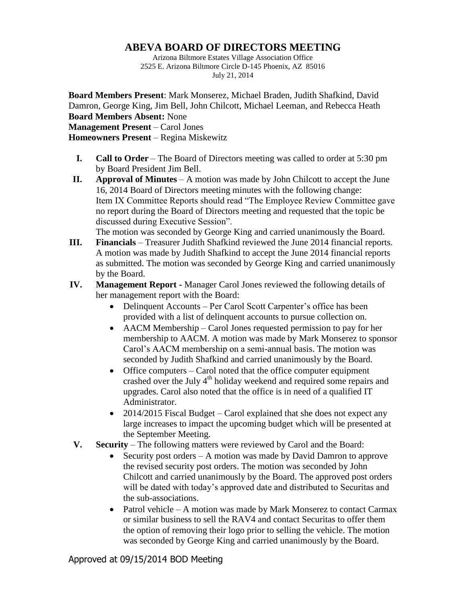## **ABEVA BOARD OF DIRECTORS MEETING**

Arizona Biltmore Estates Village Association Office 2525 E. Arizona Biltmore Circle D-145 Phoenix, AZ 85016 July 21, 2014

**Board Members Present**: Mark Monserez, Michael Braden, Judith Shafkind, David Damron, George King, Jim Bell, John Chilcott, Michael Leeman, and Rebecca Heath **Board Members Absent:** None

**Management Present** – Carol Jones

**Homeowners Present** – Regina Miskewitz

- **I. Call to Order** The Board of Directors meeting was called to order at 5:30 pm by Board President Jim Bell.
- **II. Approval of Minutes** A motion was made by John Chilcott to accept the June 16, 2014 Board of Directors meeting minutes with the following change: Item IX Committee Reports should read "The Employee Review Committee gave no report during the Board of Directors meeting and requested that the topic be discussed during Executive Session".

The motion was seconded by George King and carried unanimously the Board.

- **III. Financials** Treasurer Judith Shafkind reviewed the June 2014 financial reports. A motion was made by Judith Shafkind to accept the June 2014 financial reports as submitted. The motion was seconded by George King and carried unanimously by the Board.
- **IV. Management Report -** Manager Carol Jones reviewed the following details of her management report with the Board:
	- Delinquent Accounts Per Carol Scott Carpenter's office has been provided with a list of delinquent accounts to pursue collection on.
	- AACM Membership Carol Jones requested permission to pay for her membership to AACM. A motion was made by Mark Monserez to sponsor Carol's AACM membership on a semi-annual basis. The motion was seconded by Judith Shafkind and carried unanimously by the Board.
	- Office computers Carol noted that the office computer equipment crashed over the July  $4<sup>th</sup>$  holiday weekend and required some repairs and upgrades. Carol also noted that the office is in need of a qualified IT Administrator.
	- 2014/2015 Fiscal Budget Carol explained that she does not expect any large increases to impact the upcoming budget which will be presented at the September Meeting.
- **V. Security** The following matters were reviewed by Carol and the Board:
	- Security post orders A motion was made by David Damron to approve the revised security post orders. The motion was seconded by John Chilcott and carried unanimously by the Board. The approved post orders will be dated with today's approved date and distributed to Securitas and the sub-associations.
	- Patrol vehicle A motion was made by Mark Monserez to contact Carmax or similar business to sell the RAV4 and contact Securitas to offer them the option of removing their logo prior to selling the vehicle. The motion was seconded by George King and carried unanimously by the Board.